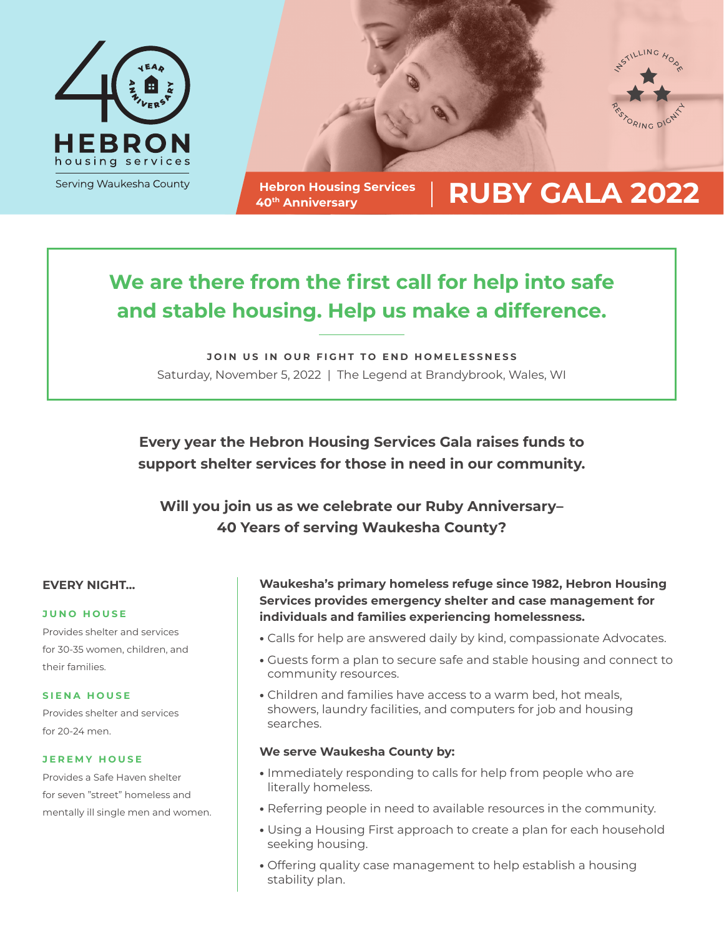



**Hebron Housing Services**

# Hebron Housing Services | **RUBY GALA 2022**

# **We are there from the first call for help into safe and stable housing. Help us make a difference.**

**JOIN US IN OUR FIGHT TO END HOMELESSNESS** Saturday, November 5, 2022 | The Legend at Brandybrook, Wales, WI

**Every year the Hebron Housing Services Gala raises funds to support shelter services for those in need in our community.**

**Will you join us as we celebrate our Ruby Anniversary– 40 Years of serving Waukesha County?**

#### **EVERY NIGHT...**

#### **JUNO HOUSE**

Provides shelter and services for 30-35 women, children, and their families.

#### **SIENA HOUSE**

Provides shelter and services for 20-24 men.

#### **JEREMY HOUSE**

Provides a Safe Haven shelter for seven "street" homeless and mentally ill single men and women. **Waukesha's primary homeless refuge since 1982, Hebron Housing Services provides emergency shelter and case management for individuals and families experiencing homelessness.**

- Calls for help are answered daily by kind, compassionate Advocates.
- Guests form a plan to secure safe and stable housing and connect to community resources.
- Children and families have access to a warm bed, hot meals, showers, laundry facilities, and computers for job and housing searches.

#### **We serve Waukesha County by:**

- Immediately responding to calls for help from people who are literally homeless.
- Referring people in need to available resources in the community.
- Using a Housing First approach to create a plan for each household seeking housing.
- Offering quality case management to help establish a housing stability plan.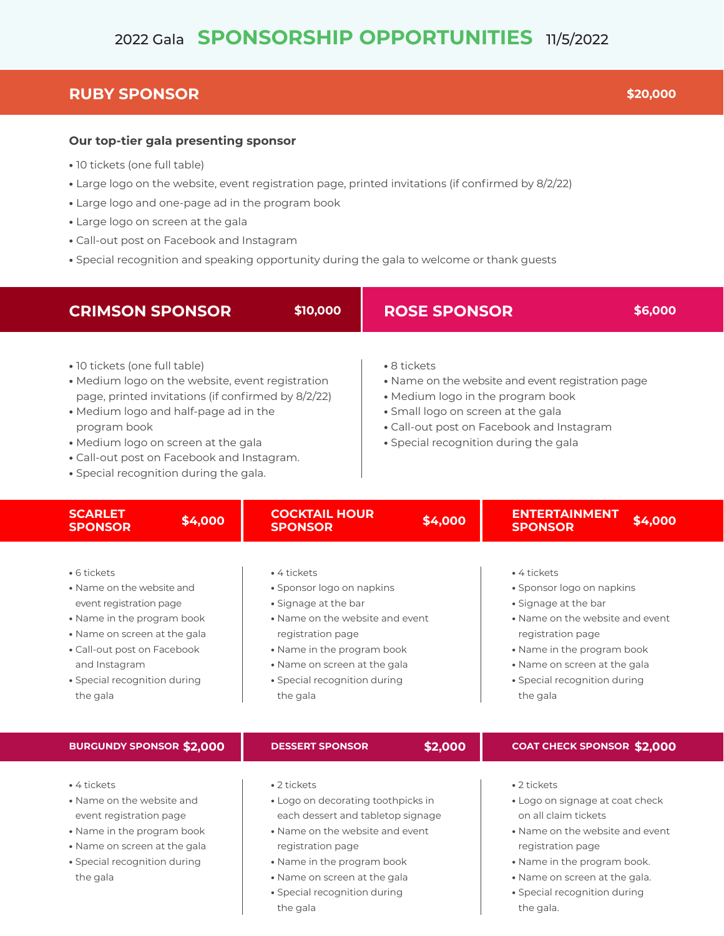# 2022 Gala **SPONSORSHIP OPPORTUNITIES** 11/5/2022

### **RUBY SPONSOR \$20,000**

#### **Our top-tier gala presenting sponsor**

- 10 tickets (one full table)
- Large logo on the website, event registration page, printed invitations (if confirmed by 8/2/22)
- Large logo and one-page ad in the program book
- Large logo on screen at the gala
- Call-out post on Facebook and Instagram
- Special recognition and speaking opportunity during the gala to welcome or thank guests

| <b>CRIMSON SPONSOR</b>                                                                                                                                                            |                                                                                                                                                                                                                                                                                                                                                                                                                                                                                                                                                      | \$10,000                                                                                                                                                                               | <b>ROSE SPONSOR</b> |                                                                                                                                                                                                                        | \$6,000 |  |
|-----------------------------------------------------------------------------------------------------------------------------------------------------------------------------------|------------------------------------------------------------------------------------------------------------------------------------------------------------------------------------------------------------------------------------------------------------------------------------------------------------------------------------------------------------------------------------------------------------------------------------------------------------------------------------------------------------------------------------------------------|----------------------------------------------------------------------------------------------------------------------------------------------------------------------------------------|---------------------|------------------------------------------------------------------------------------------------------------------------------------------------------------------------------------------------------------------------|---------|--|
| program book                                                                                                                                                                      | · 10 tickets (one full table)<br>• 8 tickets<br>• Medium logo on the website, event registration<br>• Name on the website and event registration page<br>page, printed invitations (if confirmed by 8/2/22)<br>• Medium logo in the program book<br>• Medium logo and half-page ad in the<br>· Small logo on screen at the gala<br>• Call-out post on Facebook and Instagram<br>· Medium logo on screen at the gala<br>• Special recognition during the gala<br>• Call-out post on Facebook and Instagram.<br>• Special recognition during the gala. |                                                                                                                                                                                        |                     |                                                                                                                                                                                                                        |         |  |
| <b>SCARLET</b><br><b>SPONSOR</b>                                                                                                                                                  | \$4,000                                                                                                                                                                                                                                                                                                                                                                                                                                                                                                                                              | <b>COCKTAIL HOUR</b><br><b>SPONSOR</b>                                                                                                                                                 | \$4,000             | <b>ENTERTAINMENT</b><br><b>SPONSOR</b>                                                                                                                                                                                 | \$4,000 |  |
| • 6 tickets<br>. Name on the website and<br>event registration page<br>• Name in the program book<br>• Name on screen at the gala<br>• Call-out post on Facebook<br>and Instagram |                                                                                                                                                                                                                                                                                                                                                                                                                                                                                                                                                      | • 4 tickets<br>• Sponsor logo on napkins<br>• Signage at the bar<br>• Name on the website and event<br>registration page<br>• Name in the program book<br>. Name on screen at the gala |                     | • 4 tickets<br>• Sponsor logo on napkins<br>· Signage at the bar<br>• Name on the website and event<br>registration page<br>• Name in the program book<br>• Name on screen at the gala<br>• Special recognition during |         |  |

- Special recognition during
- Special recognition during the gala

**•** Special recognition during the gala

#### **BURGUNDY SPONSOR \$2,000**

### **DESSERT SPONSOR**

**\$2,000**

#### **COAT CHECK SPONSOR \$2,000**

**•** 4 tickets

the gala

- Name on the website and event registration page
- Name in the program book
- Name on screen at the gala
- Special recognition during the gala
- 2 tickets
- Logo on decorating toothpicks in each dessert and tabletop signage
- Name on the website and event registration page
- Name in the program book
- Name on screen at the gala
- Special recognition during the gala
- 2 tickets
- Logo on signage at coat check on all claim tickets
- Name on the website and event registration page
- Name in the program book.
- Name on screen at the gala.
- Special recognition during the gala.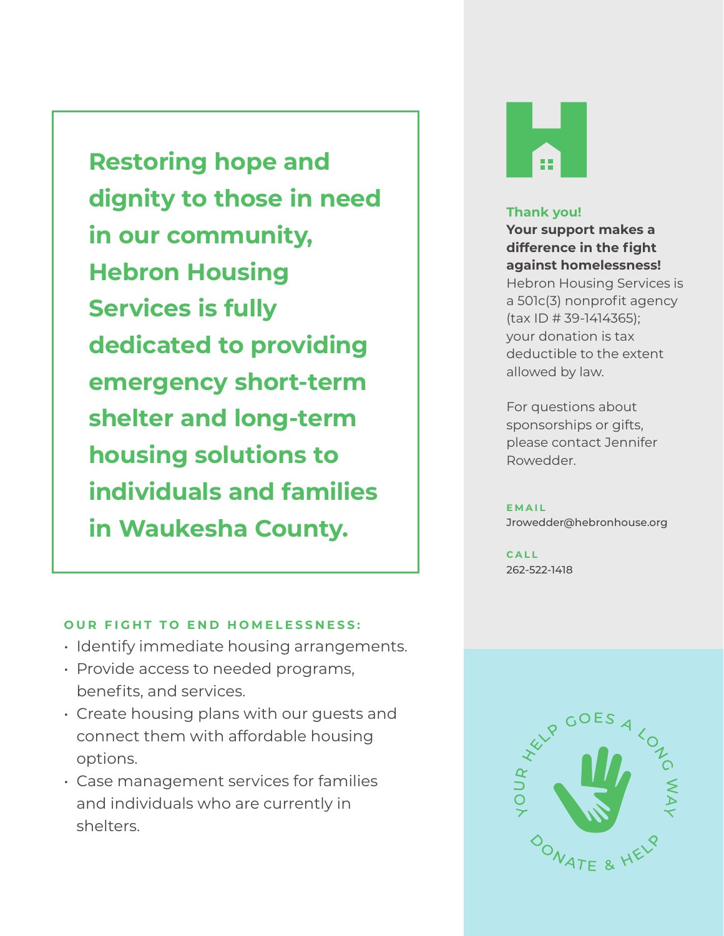**Restoring hope and dignity to those in need in our community, Hebron Housing Services is fully dedicated to providing emergency short-term shelter and long-term housing solutions to individuals and families in Waukesha County.**

#### **OUR FIGHT TO END HOMELESSNESS:**

- Identify immediate housing arrangements.
- Provide access to needed programs, benefits, and services.
- Create housing plans with our guests and connect them with affordable housing options.
- Case management services for families and individuals who are currently in shelters.



#### **Thank you!**

**Your support makes a difference in the fight against homelessness!**  Hebron Housing Services is a 501c(3) nonprofit agency (tax ID # 39-1414365); your donation is tax deductible to the extent allowed by law.

For questions about sponsorships or gifts, please contact Jennifer Rowedder.

**EMAIL** Jrowedder@hebronhouse.org

**CALL** 262-522-1418